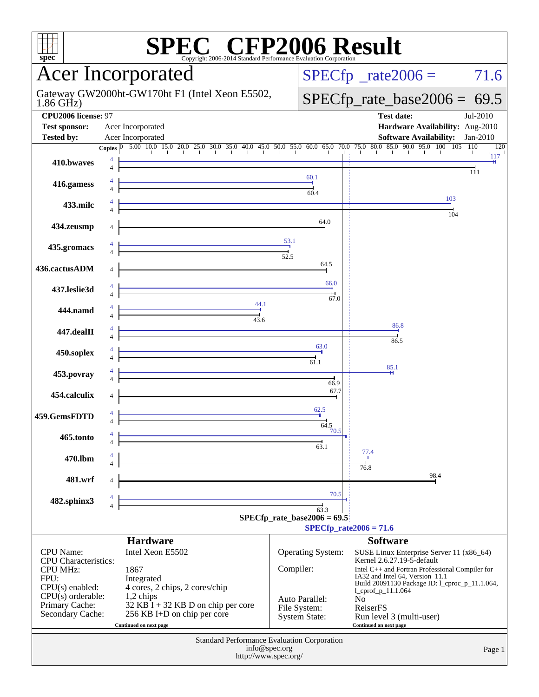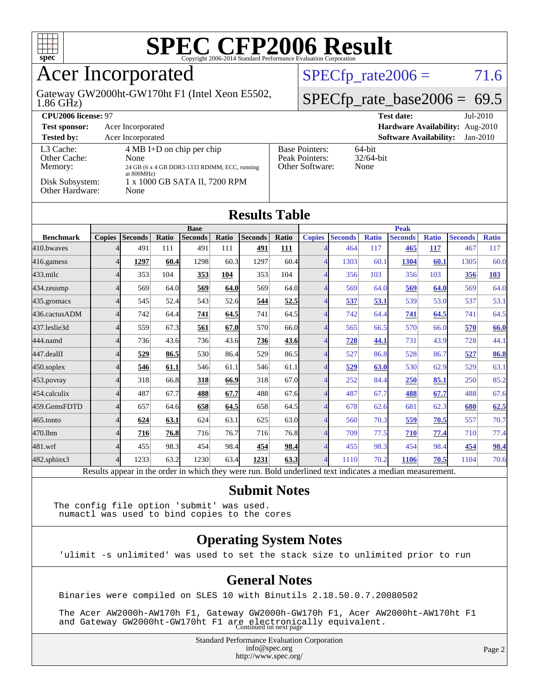

### Acer Incorporated

1.86 GHz) Gateway GW2000ht-GW170ht F1 (Intel Xeon E5502,  $SPECTp_rate2006 = 71.6$ 

### $SPECTp_rate_base2006 = 69.5$

| CPU <sub>2006</sub> license: 97      |                                                                                                               |                                                            | $Jul-2010$<br><b>Test date:</b>             |
|--------------------------------------|---------------------------------------------------------------------------------------------------------------|------------------------------------------------------------|---------------------------------------------|
| <b>Test sponsor:</b>                 | Acer Incorporated                                                                                             |                                                            | Hardware Availability: Aug-2010             |
| <b>Tested by:</b>                    | Acer Incorporated                                                                                             |                                                            | <b>Software Availability:</b><br>$Jan-2010$ |
| L3 Cache:<br>Other Cache:<br>Memory: | $4 \text{ MB I+D}$ on chip per chip<br>None<br>24 GB (6 x 4 GB DDR3-1333 RDIMM, ECC, running<br>at $800MHz$ ) | <b>Base Pointers:</b><br>Peak Pointers:<br>Other Software: | $64$ -bit<br>$32/64$ -bit<br>None           |
| Disk Subsystem:<br>Other Hardware:   | 1 x 1000 GB SATA II, 7200 RPM<br>None                                                                         |                                                            |                                             |

| <b>Results Table</b> |                |                                 |              |                |       |                |              |                         |                      |              |                |              |                |              |
|----------------------|----------------|---------------------------------|--------------|----------------|-------|----------------|--------------|-------------------------|----------------------|--------------|----------------|--------------|----------------|--------------|
|                      | <b>Base</b>    |                                 |              |                |       |                |              | <b>Peak</b>             |                      |              |                |              |                |              |
| <b>Benchmark</b>     | <b>Copies</b>  | <b>Seconds</b>                  | Ratio        | <b>Seconds</b> | Ratio | <b>Seconds</b> | <b>Ratio</b> | <b>Copies</b>           | <b>Seconds</b>       | <b>Ratio</b> | <b>Seconds</b> | <b>Ratio</b> | <b>Seconds</b> | <b>Ratio</b> |
| 410.bwayes           |                | 491                             | 111          | 491            | 111   | <u>491</u>     | 111          |                         | 464                  | 117          | 465            | <b>117</b>   | 467            | 117          |
| 416.gamess           | $\overline{4}$ | 1297                            | 60.4         | 1298           | 60.3  | 1297           | 60.4         | 4                       | 1303                 | 60.1         | 1304           | 60.1         | 1305           | 60.0         |
| $433$ .milc          | $\overline{4}$ | 353                             | 104          | 353            | 104   | 353            | 104          |                         | 356                  | 103          | 356            | 103          | 356            | 103          |
| $434$ . zeusmp       | $\overline{4}$ | 569                             | 64.0         | 569            | 64.0  | 569            | 64.0         |                         | 569                  | 64.0         | 569            | <b>64.0</b>  | 569            | 64.0         |
| 435.gromacs          | $\overline{4}$ | 545                             | 52.4         | 543            | 52.6  | 544            | 52.5         | 4                       | 537                  | 53.1         | 539            | 53.0         | 537            | 53.1         |
| 436.cactusADM        | $\overline{4}$ | 742                             | 64.4         | 741            | 64.5  | 741            | 64.5         | 4                       | 742                  | 64.4         | 741            | 64.5         | 741            | 64.5         |
| 437.leslie3d         | 4              | 559                             | 67.3         | 561            | 67.0  | 570            | 66.0         |                         | 565                  | 66.5         | 570            | 66.0         | 570            | 66.0         |
| 444.namd             | $\overline{4}$ | 736                             | 43.6         | 736            | 43.6  | 736            | 43.6         |                         | <u>728</u>           | 44.1         | 731            | 43.9         | 728            | 44.1         |
| 447.dealII           | $\overline{4}$ | 529                             | 86.5         | 530            | 86.4  | 529            | 86.5         | 4                       | 527                  | 86.8         | 528            | 86.7         | 527            | 86.8         |
| $450$ .soplex        | $\overline{4}$ | 546                             | 61.1         | 546            | 61.1  | 546            | 61.1         | 4                       | <u>529</u>           | 63.0         | 530            | 62.9         | 529            | 63.1         |
| $453$ .povray        | $\overline{4}$ | 318                             | 66.8         | 318            | 66.9  | 318            | 67.0         | 4                       | 252                  | 84.4         | <b>250</b>     | 85.1         | 250            | 85.2         |
| $454$ calculix       | $\overline{4}$ | 487                             | 67.7         | 488            | 67.7  | 488            | 67.6         |                         | 487                  | 67.7         | 488            | 67.7         | 488            | 67.6         |
| 459.GemsFDTD         | $\overline{4}$ | 657                             | 64.6         | 658            | 64.5  | 658            | 64.5         | 4                       | 678                  | 62.6         | 681            | 62.3         | 680            | 62.5         |
| 465.tonto            | 4              | 624                             | 63.1         | 624            | 63.1  | 625            | 63.0         | 4                       | 560                  | 70.3         | 559            | 70.5         | 557            | 70.7         |
| 470.1bm              | 4              | 716                             | 76.8         | 716            | 76.7  | 716            | 76.8         | 4                       | 709                  | 77.5         | 710            | 77.4         | 710            | 77.4         |
| 481.wrf              | $\overline{4}$ | 455                             | 98.3         | 454            | 98.4  | 454            | 98.4         |                         | 455                  | 98.3         | 454            | 98.4         | 454            | 98.4         |
| 482.sphinx3          | $\overline{4}$ | 1233                            | 63.2         | 1230           | 63.4  | 1231           | 63.3         | 4                       | 1110                 | 70.2         | 1106           | 70.5         | 1104           | 70.6         |
| <b>D</b>             | 1.1            | $\cdot$ $\cdot$ $\cdot$ $\cdot$ | $\mathbf{1}$ | 1.1.1          |       |                | $T$ 11       | $1 - 1$<br>$\mathbf{1}$ | $\sim$ $\sim$ $\sim$ |              | $\cdot$        |              |                |              |

Results appear in the [order in which they were run.](http://www.spec.org/auto/cpu2006/Docs/result-fields.html#RunOrder) Bold underlined text [indicates a median measurement.](http://www.spec.org/auto/cpu2006/Docs/result-fields.html#Median)

#### **[Submit Notes](http://www.spec.org/auto/cpu2006/Docs/result-fields.html#SubmitNotes)**

The config file option 'submit' was used. numactl was used to bind copies to the cores

#### **[Operating System Notes](http://www.spec.org/auto/cpu2006/Docs/result-fields.html#OperatingSystemNotes)**

'ulimit -s unlimited' was used to set the stack size to unlimited prior to run

#### **[General Notes](http://www.spec.org/auto/cpu2006/Docs/result-fields.html#GeneralNotes)**

Binaries were compiled on SLES 10 with Binutils 2.18.50.0.7.20080502

 The Acer AW2000h-AW170h F1, Gateway GW2000h-GW170h F1, Acer AW2000ht-AW170ht F1 and Gateway GW2000ht-GW170ht F1 are electronically equivalent.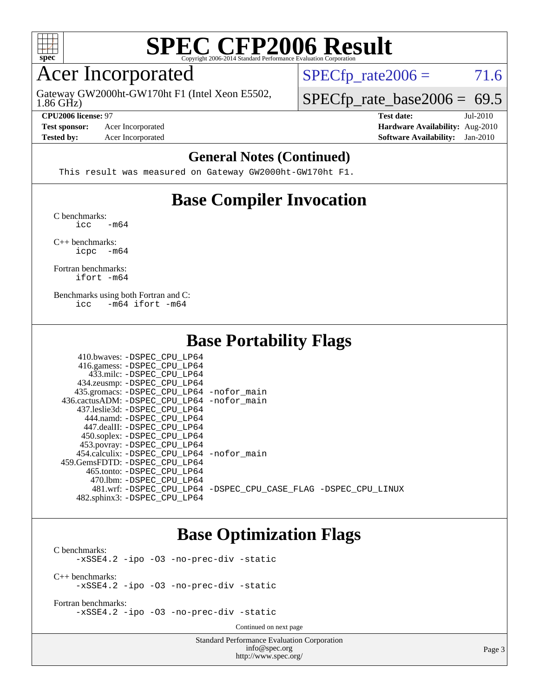

### Acer Incorporated

1.86 GHz) Gateway GW2000ht-GW170ht F1 (Intel Xeon E5502,  $SPECTp_rate2006 = 71.6$ 

#### **[CPU2006 license:](http://www.spec.org/auto/cpu2006/Docs/result-fields.html#CPU2006license)** 97 **[Test date:](http://www.spec.org/auto/cpu2006/Docs/result-fields.html#Testdate)** Jul-2010

**[Test sponsor:](http://www.spec.org/auto/cpu2006/Docs/result-fields.html#Testsponsor)** Acer Incorporated **[Hardware Availability:](http://www.spec.org/auto/cpu2006/Docs/result-fields.html#HardwareAvailability)** Aug-2010

 $SPECTp_rate\_base2006 = 69.5$ 

**[Tested by:](http://www.spec.org/auto/cpu2006/Docs/result-fields.html#Testedby)** Acer Incorporated **[Software Availability:](http://www.spec.org/auto/cpu2006/Docs/result-fields.html#SoftwareAvailability)** Jan-2010

#### **[General Notes \(Continued\)](http://www.spec.org/auto/cpu2006/Docs/result-fields.html#GeneralNotes)**

This result was measured on Gateway GW2000ht-GW170ht F1.

### **[Base Compiler Invocation](http://www.spec.org/auto/cpu2006/Docs/result-fields.html#BaseCompilerInvocation)**

[C benchmarks](http://www.spec.org/auto/cpu2006/Docs/result-fields.html#Cbenchmarks):  $\text{icc}$   $-\text{m64}$ 

[C++ benchmarks:](http://www.spec.org/auto/cpu2006/Docs/result-fields.html#CXXbenchmarks) [icpc -m64](http://www.spec.org/cpu2006/results/res2010q3/cpu2006-20100802-12809.flags.html#user_CXXbase_intel_icpc_64bit_bedb90c1146cab66620883ef4f41a67e)

[Fortran benchmarks](http://www.spec.org/auto/cpu2006/Docs/result-fields.html#Fortranbenchmarks): [ifort -m64](http://www.spec.org/cpu2006/results/res2010q3/cpu2006-20100802-12809.flags.html#user_FCbase_intel_ifort_64bit_ee9d0fb25645d0210d97eb0527dcc06e)

[Benchmarks using both Fortran and C](http://www.spec.org/auto/cpu2006/Docs/result-fields.html#BenchmarksusingbothFortranandC): [icc -m64](http://www.spec.org/cpu2006/results/res2010q3/cpu2006-20100802-12809.flags.html#user_CC_FCbase_intel_icc_64bit_0b7121f5ab7cfabee23d88897260401c) [ifort -m64](http://www.spec.org/cpu2006/results/res2010q3/cpu2006-20100802-12809.flags.html#user_CC_FCbase_intel_ifort_64bit_ee9d0fb25645d0210d97eb0527dcc06e)

### **[Base Portability Flags](http://www.spec.org/auto/cpu2006/Docs/result-fields.html#BasePortabilityFlags)**

| 410.bwaves: -DSPEC CPU LP64                |                                                                |
|--------------------------------------------|----------------------------------------------------------------|
| 416.gamess: -DSPEC_CPU_LP64                |                                                                |
| 433.milc: -DSPEC CPU LP64                  |                                                                |
| 434.zeusmp: -DSPEC_CPU_LP64                |                                                                |
| 435.gromacs: -DSPEC_CPU_LP64 -nofor_main   |                                                                |
| 436.cactusADM: -DSPEC CPU LP64 -nofor main |                                                                |
| 437.leslie3d: -DSPEC CPU LP64              |                                                                |
| 444.namd: -DSPEC CPU LP64                  |                                                                |
| 447.dealII: -DSPEC_CPU LP64                |                                                                |
| 450.soplex: -DSPEC_CPU_LP64                |                                                                |
| 453.povray: -DSPEC_CPU_LP64                |                                                                |
| 454.calculix: -DSPEC CPU LP64 -nofor main  |                                                                |
| 459.GemsFDTD: -DSPEC_CPU LP64              |                                                                |
| 465.tonto: -DSPEC CPU LP64                 |                                                                |
| 470.1bm: - DSPEC CPU LP64                  |                                                                |
|                                            | 481.wrf: -DSPEC_CPU_LP64 -DSPEC_CPU_CASE_FLAG -DSPEC_CPU_LINUX |
| 482.sphinx3: -DSPEC CPU LP64               |                                                                |

### **[Base Optimization Flags](http://www.spec.org/auto/cpu2006/Docs/result-fields.html#BaseOptimizationFlags)**

[C benchmarks](http://www.spec.org/auto/cpu2006/Docs/result-fields.html#Cbenchmarks): [-xSSE4.2](http://www.spec.org/cpu2006/results/res2010q3/cpu2006-20100802-12809.flags.html#user_CCbase_f-xSSE42_f91528193cf0b216347adb8b939d4107) [-ipo](http://www.spec.org/cpu2006/results/res2010q3/cpu2006-20100802-12809.flags.html#user_CCbase_f-ipo) [-O3](http://www.spec.org/cpu2006/results/res2010q3/cpu2006-20100802-12809.flags.html#user_CCbase_f-O3) [-no-prec-div](http://www.spec.org/cpu2006/results/res2010q3/cpu2006-20100802-12809.flags.html#user_CCbase_f-no-prec-div) [-static](http://www.spec.org/cpu2006/results/res2010q3/cpu2006-20100802-12809.flags.html#user_CCbase_f-static) [C++ benchmarks:](http://www.spec.org/auto/cpu2006/Docs/result-fields.html#CXXbenchmarks) [-xSSE4.2](http://www.spec.org/cpu2006/results/res2010q3/cpu2006-20100802-12809.flags.html#user_CXXbase_f-xSSE42_f91528193cf0b216347adb8b939d4107) [-ipo](http://www.spec.org/cpu2006/results/res2010q3/cpu2006-20100802-12809.flags.html#user_CXXbase_f-ipo) [-O3](http://www.spec.org/cpu2006/results/res2010q3/cpu2006-20100802-12809.flags.html#user_CXXbase_f-O3) [-no-prec-div](http://www.spec.org/cpu2006/results/res2010q3/cpu2006-20100802-12809.flags.html#user_CXXbase_f-no-prec-div) [-static](http://www.spec.org/cpu2006/results/res2010q3/cpu2006-20100802-12809.flags.html#user_CXXbase_f-static)

[Fortran benchmarks](http://www.spec.org/auto/cpu2006/Docs/result-fields.html#Fortranbenchmarks): [-xSSE4.2](http://www.spec.org/cpu2006/results/res2010q3/cpu2006-20100802-12809.flags.html#user_FCbase_f-xSSE42_f91528193cf0b216347adb8b939d4107) [-ipo](http://www.spec.org/cpu2006/results/res2010q3/cpu2006-20100802-12809.flags.html#user_FCbase_f-ipo) [-O3](http://www.spec.org/cpu2006/results/res2010q3/cpu2006-20100802-12809.flags.html#user_FCbase_f-O3) [-no-prec-div](http://www.spec.org/cpu2006/results/res2010q3/cpu2006-20100802-12809.flags.html#user_FCbase_f-no-prec-div) [-static](http://www.spec.org/cpu2006/results/res2010q3/cpu2006-20100802-12809.flags.html#user_FCbase_f-static)

Continued on next page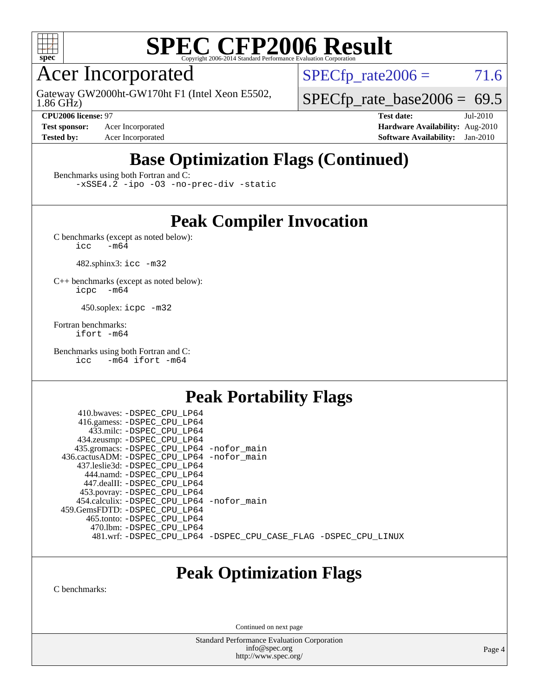

### Acer Incorporated

1.86 GHz) Gateway GW2000ht-GW170ht F1 (Intel Xeon E5502,  $SPECTp\_rate2006 = 71.6$ 

 $SPECTp_rate\_base2006 = 69.5$ 

**[Test sponsor:](http://www.spec.org/auto/cpu2006/Docs/result-fields.html#Testsponsor)** Acer Incorporated **[Hardware Availability:](http://www.spec.org/auto/cpu2006/Docs/result-fields.html#HardwareAvailability)** Aug-2010

**[CPU2006 license:](http://www.spec.org/auto/cpu2006/Docs/result-fields.html#CPU2006license)** 97 **[Test date:](http://www.spec.org/auto/cpu2006/Docs/result-fields.html#Testdate)** Jul-2010 **[Tested by:](http://www.spec.org/auto/cpu2006/Docs/result-fields.html#Testedby)** Acer Incorporated **[Software Availability:](http://www.spec.org/auto/cpu2006/Docs/result-fields.html#SoftwareAvailability)** Jan-2010

### **[Base Optimization Flags \(Continued\)](http://www.spec.org/auto/cpu2006/Docs/result-fields.html#BaseOptimizationFlags)**

[Benchmarks using both Fortran and C](http://www.spec.org/auto/cpu2006/Docs/result-fields.html#BenchmarksusingbothFortranandC):

[-xSSE4.2](http://www.spec.org/cpu2006/results/res2010q3/cpu2006-20100802-12809.flags.html#user_CC_FCbase_f-xSSE42_f91528193cf0b216347adb8b939d4107) [-ipo](http://www.spec.org/cpu2006/results/res2010q3/cpu2006-20100802-12809.flags.html#user_CC_FCbase_f-ipo) [-O3](http://www.spec.org/cpu2006/results/res2010q3/cpu2006-20100802-12809.flags.html#user_CC_FCbase_f-O3) [-no-prec-div](http://www.spec.org/cpu2006/results/res2010q3/cpu2006-20100802-12809.flags.html#user_CC_FCbase_f-no-prec-div) [-static](http://www.spec.org/cpu2006/results/res2010q3/cpu2006-20100802-12809.flags.html#user_CC_FCbase_f-static)

### **[Peak Compiler Invocation](http://www.spec.org/auto/cpu2006/Docs/result-fields.html#PeakCompilerInvocation)**

[C benchmarks \(except as noted below\)](http://www.spec.org/auto/cpu2006/Docs/result-fields.html#Cbenchmarksexceptasnotedbelow):<br> $\frac{1}{\text{CC}}$  -m64  $-m64$ 

482.sphinx3: [icc -m32](http://www.spec.org/cpu2006/results/res2010q3/cpu2006-20100802-12809.flags.html#user_peakCCLD482_sphinx3_intel_icc_32bit_a6a621f8d50482236b970c6ac5f55f93)

[C++ benchmarks \(except as noted below\):](http://www.spec.org/auto/cpu2006/Docs/result-fields.html#CXXbenchmarksexceptasnotedbelow) [icpc -m64](http://www.spec.org/cpu2006/results/res2010q3/cpu2006-20100802-12809.flags.html#user_CXXpeak_intel_icpc_64bit_bedb90c1146cab66620883ef4f41a67e)

450.soplex: [icpc -m32](http://www.spec.org/cpu2006/results/res2010q3/cpu2006-20100802-12809.flags.html#user_peakCXXLD450_soplex_intel_icpc_32bit_4e5a5ef1a53fd332b3c49e69c3330699)

[Fortran benchmarks](http://www.spec.org/auto/cpu2006/Docs/result-fields.html#Fortranbenchmarks): [ifort -m64](http://www.spec.org/cpu2006/results/res2010q3/cpu2006-20100802-12809.flags.html#user_FCpeak_intel_ifort_64bit_ee9d0fb25645d0210d97eb0527dcc06e)

[Benchmarks using both Fortran and C](http://www.spec.org/auto/cpu2006/Docs/result-fields.html#BenchmarksusingbothFortranandC): [icc -m64](http://www.spec.org/cpu2006/results/res2010q3/cpu2006-20100802-12809.flags.html#user_CC_FCpeak_intel_icc_64bit_0b7121f5ab7cfabee23d88897260401c) [ifort -m64](http://www.spec.org/cpu2006/results/res2010q3/cpu2006-20100802-12809.flags.html#user_CC_FCpeak_intel_ifort_64bit_ee9d0fb25645d0210d97eb0527dcc06e)

### **[Peak Portability Flags](http://www.spec.org/auto/cpu2006/Docs/result-fields.html#PeakPortabilityFlags)**

 410.bwaves: [-DSPEC\\_CPU\\_LP64](http://www.spec.org/cpu2006/results/res2010q3/cpu2006-20100802-12809.flags.html#suite_peakPORTABILITY410_bwaves_DSPEC_CPU_LP64) 416.gamess: [-DSPEC\\_CPU\\_LP64](http://www.spec.org/cpu2006/results/res2010q3/cpu2006-20100802-12809.flags.html#suite_peakPORTABILITY416_gamess_DSPEC_CPU_LP64) 433.milc: [-DSPEC\\_CPU\\_LP64](http://www.spec.org/cpu2006/results/res2010q3/cpu2006-20100802-12809.flags.html#suite_peakPORTABILITY433_milc_DSPEC_CPU_LP64) 434.zeusmp: [-DSPEC\\_CPU\\_LP64](http://www.spec.org/cpu2006/results/res2010q3/cpu2006-20100802-12809.flags.html#suite_peakPORTABILITY434_zeusmp_DSPEC_CPU_LP64) 435.gromacs: [-DSPEC\\_CPU\\_LP64](http://www.spec.org/cpu2006/results/res2010q3/cpu2006-20100802-12809.flags.html#suite_peakPORTABILITY435_gromacs_DSPEC_CPU_LP64) [-nofor\\_main](http://www.spec.org/cpu2006/results/res2010q3/cpu2006-20100802-12809.flags.html#user_peakLDPORTABILITY435_gromacs_f-nofor_main) 436.cactusADM: [-DSPEC\\_CPU\\_LP64](http://www.spec.org/cpu2006/results/res2010q3/cpu2006-20100802-12809.flags.html#suite_peakPORTABILITY436_cactusADM_DSPEC_CPU_LP64) [-nofor\\_main](http://www.spec.org/cpu2006/results/res2010q3/cpu2006-20100802-12809.flags.html#user_peakLDPORTABILITY436_cactusADM_f-nofor_main) 437.leslie3d: [-DSPEC\\_CPU\\_LP64](http://www.spec.org/cpu2006/results/res2010q3/cpu2006-20100802-12809.flags.html#suite_peakPORTABILITY437_leslie3d_DSPEC_CPU_LP64) 444.namd: [-DSPEC\\_CPU\\_LP64](http://www.spec.org/cpu2006/results/res2010q3/cpu2006-20100802-12809.flags.html#suite_peakPORTABILITY444_namd_DSPEC_CPU_LP64) 447.dealII: [-DSPEC\\_CPU\\_LP64](http://www.spec.org/cpu2006/results/res2010q3/cpu2006-20100802-12809.flags.html#suite_peakPORTABILITY447_dealII_DSPEC_CPU_LP64) 453.povray: [-DSPEC\\_CPU\\_LP64](http://www.spec.org/cpu2006/results/res2010q3/cpu2006-20100802-12809.flags.html#suite_peakPORTABILITY453_povray_DSPEC_CPU_LP64) 454.calculix: [-DSPEC\\_CPU\\_LP64](http://www.spec.org/cpu2006/results/res2010q3/cpu2006-20100802-12809.flags.html#suite_peakPORTABILITY454_calculix_DSPEC_CPU_LP64) [-nofor\\_main](http://www.spec.org/cpu2006/results/res2010q3/cpu2006-20100802-12809.flags.html#user_peakLDPORTABILITY454_calculix_f-nofor_main) 459.GemsFDTD: [-DSPEC\\_CPU\\_LP64](http://www.spec.org/cpu2006/results/res2010q3/cpu2006-20100802-12809.flags.html#suite_peakPORTABILITY459_GemsFDTD_DSPEC_CPU_LP64) 465.tonto: [-DSPEC\\_CPU\\_LP64](http://www.spec.org/cpu2006/results/res2010q3/cpu2006-20100802-12809.flags.html#suite_peakPORTABILITY465_tonto_DSPEC_CPU_LP64) 470.lbm: [-DSPEC\\_CPU\\_LP64](http://www.spec.org/cpu2006/results/res2010q3/cpu2006-20100802-12809.flags.html#suite_peakPORTABILITY470_lbm_DSPEC_CPU_LP64) 481.wrf: [-DSPEC\\_CPU\\_LP64](http://www.spec.org/cpu2006/results/res2010q3/cpu2006-20100802-12809.flags.html#suite_peakPORTABILITY481_wrf_DSPEC_CPU_LP64) [-DSPEC\\_CPU\\_CASE\\_FLAG](http://www.spec.org/cpu2006/results/res2010q3/cpu2006-20100802-12809.flags.html#b481.wrf_peakCPORTABILITY_DSPEC_CPU_CASE_FLAG) [-DSPEC\\_CPU\\_LINUX](http://www.spec.org/cpu2006/results/res2010q3/cpu2006-20100802-12809.flags.html#b481.wrf_peakCPORTABILITY_DSPEC_CPU_LINUX)

### **[Peak Optimization Flags](http://www.spec.org/auto/cpu2006/Docs/result-fields.html#PeakOptimizationFlags)**

[C benchmarks](http://www.spec.org/auto/cpu2006/Docs/result-fields.html#Cbenchmarks):

Continued on next page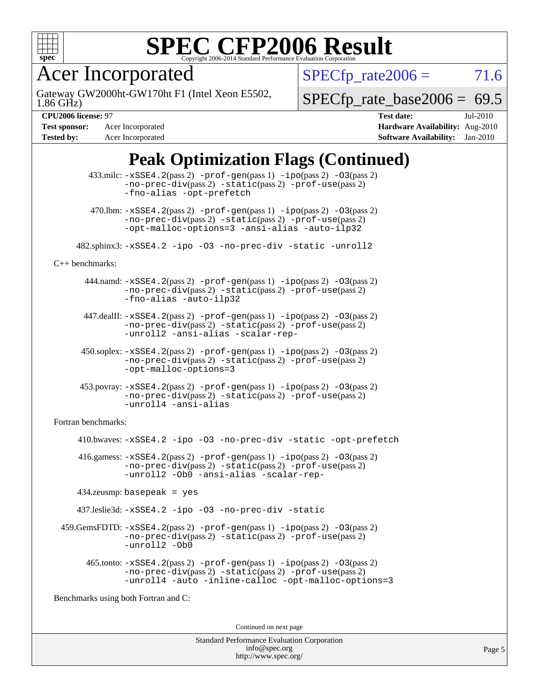

Acer Incorporated

1.86 GHz) Gateway GW2000ht-GW170ht F1 (Intel Xeon E5502,  $SPECTp_rate2006 = 71.6$ 

[SPECfp\\_rate\\_base2006 =](http://www.spec.org/auto/cpu2006/Docs/result-fields.html#SPECfpratebase2006) 69.5

**[Tested by:](http://www.spec.org/auto/cpu2006/Docs/result-fields.html#Testedby)** Acer Incorporated **[Software Availability:](http://www.spec.org/auto/cpu2006/Docs/result-fields.html#SoftwareAvailability)** Jan-2010

**[CPU2006 license:](http://www.spec.org/auto/cpu2006/Docs/result-fields.html#CPU2006license)** 97 **[Test date:](http://www.spec.org/auto/cpu2006/Docs/result-fields.html#Testdate)** Jul-2010 **[Test sponsor:](http://www.spec.org/auto/cpu2006/Docs/result-fields.html#Testsponsor)** Acer Incorporated **[Hardware Availability:](http://www.spec.org/auto/cpu2006/Docs/result-fields.html#HardwareAvailability)** Aug-2010

### **[Peak Optimization Flags \(Continued\)](http://www.spec.org/auto/cpu2006/Docs/result-fields.html#PeakOptimizationFlags)**

|                                      | $433 \text{.}$ milc: $-xSSE4$ . $2(pass 2)$ -prof-gen $(pass 1)$ -ipo $(pass 2)$ -03 $(pass 2)$<br>$-no-prec-div(pass 2) -static(pass 2) -prof-use(pass 2)$<br>-fno-alias -opt-prefetch                                    |  |  |
|--------------------------------------|----------------------------------------------------------------------------------------------------------------------------------------------------------------------------------------------------------------------------|--|--|
|                                      | $470.$ Ibm: $-xSSE4$ . $2(pass 2)$ $-prof-gen(pass 1)$ $-ipo(pass 2)$ $-03(pass 2)$<br>-no-prec-div(pass 2) -static(pass 2) -prof-use(pass 2)<br>-opt-malloc-options=3 -ansi-alias -auto-ilp32                             |  |  |
|                                      | 482.sphinx3: -xSSE4.2 -ipo -03 -no-prec-div -static -unroll2                                                                                                                                                               |  |  |
| $C++$ benchmarks:                    |                                                                                                                                                                                                                            |  |  |
|                                      | 444.namd: $-xSSE4$ . 2(pass 2) $-prof-gen(pass 1) -ipo(pass 2) -O3(pass 2)$<br>-no-prec-div(pass 2) -static(pass 2) -prof-use(pass 2)<br>-fno-alias -auto-ilp32                                                            |  |  |
|                                      | $447$ .dealII: $-xSSE4$ . 2(pass 2) $-prof-gen(pass 1) -ipo(pass 2) -03(pass 2)$<br>$-no-prec-div(pass 2) -static(pass 2) -prof-use(pass 2)$<br>-unroll2 -ansi-alias -scalar-rep-                                          |  |  |
|                                      | $450.\text{soplex: } -x\text{SSE4}.2(\text{pass 2}) - \text{prof-gen}(\text{pass 1}) - \text{ipo}(\text{pass 2}) - 03(\text{pass 2})$<br>$-no-prec-div(pass 2) -static(pass 2) -prof-use(pass 2)$<br>-opt-malloc-options=3 |  |  |
|                                      | $453.$ povray: $-xSSE4.2(pass 2) -prof-gen(pass 1) -ipo(pass 2) -03(pass 2)$<br>$-no-prec-div(pass 2) -static(pass 2) -prof-use(pass 2)$<br>-unroll4 -ansi-alias                                                           |  |  |
| Fortran benchmarks:                  |                                                                                                                                                                                                                            |  |  |
|                                      | 410.bwaves: -xSSE4.2 -ipo -03 -no-prec-div -static -opt-prefetch                                                                                                                                                           |  |  |
|                                      | 416.gamess: $-xSSE4$ . 2(pass 2) $-prof-gen(pass 1) -ipo(pass 2) -O3(pass 2)$<br>$-no-prec-div(pass 2) -static(pass 2) -prof-use(pass 2)$<br>-unroll2 -Ob0 -ansi-alias -scalar-rep-                                        |  |  |
|                                      | $434$ .zeusmp: basepeak = yes                                                                                                                                                                                              |  |  |
|                                      | 437.leslie3d: -xSSE4.2 -ipo -03 -no-prec-div -static                                                                                                                                                                       |  |  |
|                                      | $459. \text{GemsFDTD: } -x \text{SSE4}.2(\text{pass 2}) - \text{prof-gen(pass 1)} - \text{ipo(pass 2)} -03(\text{pass 2})$<br>$-no-prec-div(pass 2) -static(pass 2) -prof-use(pass 2)$<br>-unroll2 -Ob0                    |  |  |
|                                      | 465.tonto: -xSSE4.2(pass 2) -prof-gen(pass 1) -ipo(pass 2) -03(pass 2)<br>-no-prec-div(pass 2) -static(pass 2) -prof-use(pass 2)<br>-unroll4 -auto -inline-calloc -opt-malloc-options=3                                    |  |  |
| Benchmarks using both Fortran and C: |                                                                                                                                                                                                                            |  |  |
|                                      | Continued on next page                                                                                                                                                                                                     |  |  |
|                                      |                                                                                                                                                                                                                            |  |  |